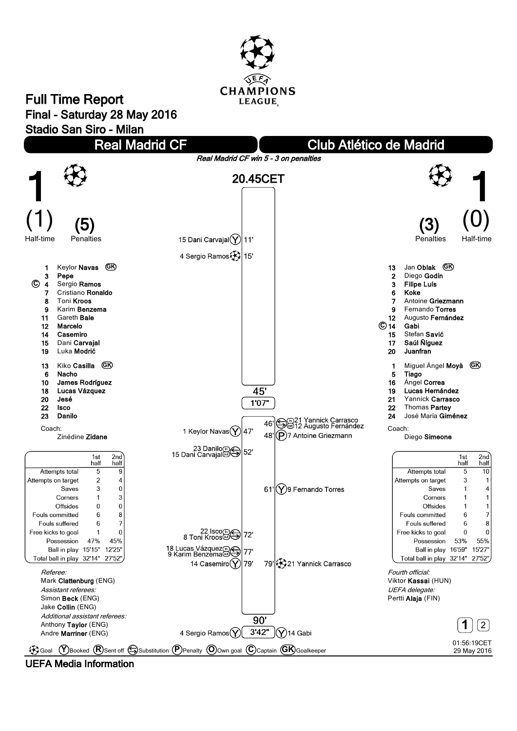

## **Full Time Report Final - Saturday 28 May 2016 Stadio San Siro - Milan**